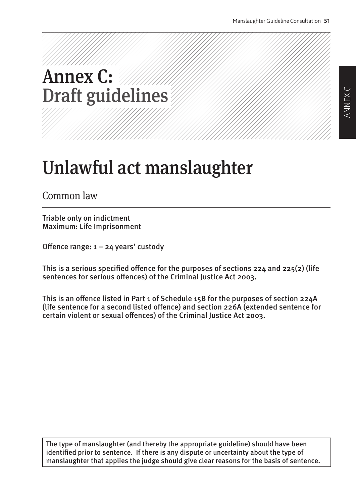# Annex C: Draft guidelines

# Unlawful act manslaughter

Common law

Triable only on indictment Maximum: Life Imprisonment

Offence range: 1 – 24 years' custody

This is a serious specified offence for the purposes of sections 224 and 225(2) (life sentences for serious offences) of the Criminal Justice Act 2003.

This is an offence listed in Part 1 of Schedule 15B for the purposes of section 224A (life sentence for a second listed offence) and section 226A (extended sentence for certain violent or sexual offences) of the Criminal Justice Act 2003.

The type of manslaughter (and thereby the appropriate guideline) should have been identified prior to sentence. If there is any dispute or uncertainty about the type of manslaughter that applies the judge should give clear reasons for the basis of sentence.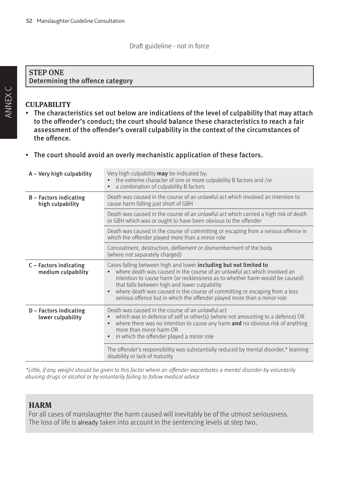## STEP ONE Determining the offence category

#### **CULPABILITY**

- The characteristics set out below are indications of the level of culpability that may attach to the offender's conduct; the court should balance these characteristics to reach a fair assessment of the offender's overall culpability in the context of the circumstances of the offence.
- The court should avoid an overly mechanistic application of these factors.

| A - Very high culpability                         | Very high culpability may be indicated by:<br>the extreme character of one or more culpability B factors and /or<br>a combination of culpability B factors<br>$\bullet$                                                                                                                                                                                                                                                                               |
|---------------------------------------------------|-------------------------------------------------------------------------------------------------------------------------------------------------------------------------------------------------------------------------------------------------------------------------------------------------------------------------------------------------------------------------------------------------------------------------------------------------------|
| <b>B</b> – Factors indicating<br>high culpability | Death was caused in the course of an unlawful act which involved an intention to<br>cause harm falling just short of GBH                                                                                                                                                                                                                                                                                                                              |
|                                                   | Death was caused in the course of an unlawful act which carried a high risk of death<br>or GBH which was or ought to have been obvious to the offender                                                                                                                                                                                                                                                                                                |
|                                                   | Death was caused in the course of committing or escaping from a serious offence in<br>which the offender played more than a minor role                                                                                                                                                                                                                                                                                                                |
|                                                   | Concealment, destruction, defilement or dismemberment of the body<br>(where not separately charged)                                                                                                                                                                                                                                                                                                                                                   |
| C - Factors indicating<br>medium culpability      | Cases falling between high and lower including but not limited to<br>where death was caused in the course of an unlawful act which involved an<br>intention to cause harm (or recklessness as to whether harm would be caused)<br>that falls between high and lower culpability<br>where death was caused in the course of committing or escaping from a less<br>$\bullet$<br>serious offence but in which the offender played more than a minor role |
| D - Factors indicating<br>lower culpability       | Death was caused in the course of an unlawful act<br>which was in defence of self or other(s) (where not amounting to a defence) OR<br>where there was no intention to cause any harm and no obvious risk of anything<br>$\bullet$<br>more than minor harm OR<br>in which the offender played a minor role<br>$\bullet$                                                                                                                               |
|                                                   | The offender's responsibility was substantially reduced by mental disorder,* learning<br>disability or lack of maturity                                                                                                                                                                                                                                                                                                                               |

\*Little, if any, weight should be given to this factor where an offender exacerbates a mental disorder by voluntarily abusing drugs or alcohol or by voluntarily failing to follow medical advice

## **HARM**

For all cases of manslaughter the harm caused will inevitably be of the utmost seriousness. The loss of life is already taken into account in the sentencing levels at step two.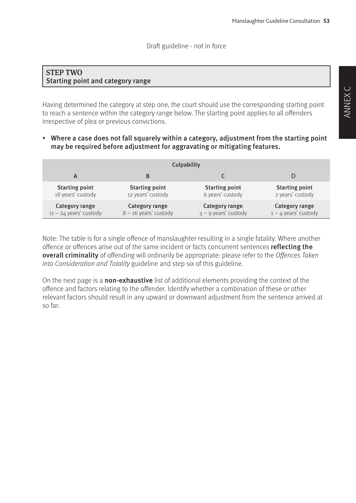## STEP TWO Starting point and category range

Having determined the category at step one, the court should use the corresponding starting point to reach a sentence within the category range below. The starting point applies to all offenders irrespective of plea or previous convictions.

• Where a case does not fall squarely within a category, adjustment from the starting point may be required before adjustment for aggravating or mitigating features.

| <b>Culpability</b>       |                         |                        |                        |
|--------------------------|-------------------------|------------------------|------------------------|
| A                        | B                       |                        |                        |
| <b>Starting point</b>    | <b>Starting point</b>   | <b>Starting point</b>  | <b>Starting point</b>  |
| 18 years' custody        | 12 years' custody       | 6 years' custody       | 2 years' custody       |
| Category range           | Category range          | Category range         | Category range         |
| $11 - 24$ years' custody | $8 - 16$ years' custody | $3 - 9$ years' custody | $1 - 4$ years' custody |

Note: The table is for a single offence of manslaughter resulting in a single fatality. Where another offence or offences arise out of the same incident or facts concurrent sentences reflecting the overall criminality of offending will ordinarily be appropriate: please refer to the *Offences Taken* into Consideration and Totality guideline and step six of this guideline.

On the next page is a **non-exhaustive** list of additional elements providing the context of the offence and factors relating to the offender. Identify whether a combination of these or other relevant factors should result in any upward or downward adjustment from the sentence arrived at so far.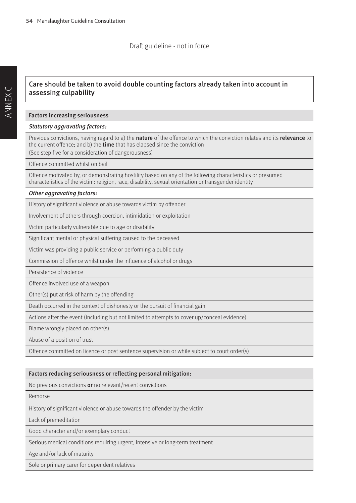### Care should be taken to avoid double counting factors already taken into account in assessing culpability

#### Factors increasing seriousness

#### Statutory aggravating factors:

Previous convictions, having regard to a) the nature of the offence to which the conviction relates and its relevance to the current offence; and b) the time that has elapsed since the conviction

(See step five for a consideration of dangerousness)

Offence committed whilst on bail

Offence motivated by, or demonstrating hostility based on any of the following characteristics or presumed characteristics of the victim: religion, race, disability, sexual orientation or transgender identity

#### Other aggravating factors:

History of significant violence or abuse towards victim by offender

Involvement of others through coercion, intimidation or exploitation

Victim particularly vulnerable due to age or disability

Significant mental or physical suffering caused to the deceased

Victim was providing a public service or performing a public duty

Commission of offence whilst under the influence of alcohol or drugs

Persistence of violence

Offence involved use of a weapon

Other(s) put at risk of harm by the offending

Death occurred in the context of dishonesty or the pursuit of financial gain

Actions after the event (including but not limited to attempts to cover up/conceal evidence)

Blame wrongly placed on other(s)

Abuse of a position of trust

Offence committed on licence or post sentence supervision or while subject to court order(s)

#### Factors reducing seriousness or reflecting personal mitigation:

No previous convictions or no relevant/recent convictions

Remorse

History of significant violence or abuse towards the offender by the victim

Lack of premeditation

Good character and/or exemplary conduct

Serious medical conditions requiring urgent, intensive or long-term treatment

Age and/or lack of maturity

Sole or primary carer for dependent relatives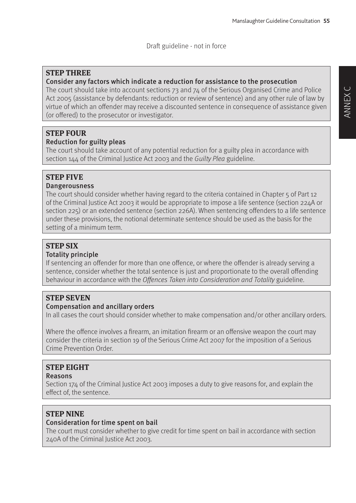# **STEP THREE**

## Consider any factors which indicate a reduction for assistance to the prosecution

The court should take into account sections 73 and 74 of the Serious Organised Crime and Police Act 2005 (assistance by defendants: reduction or review of sentence) and any other rule of law by virtue of which an offender may receive a discounted sentence in consequence of assistance given (or offered) to the prosecutor or investigator.

## **STEP FOUR**

## Reduction for guilty pleas

The court should take account of any potential reduction for a guilty plea in accordance with section 144 of the Criminal Justice Act 2003 and the Guilty Plea guideline.

# **STEP FIVE**

## Dangerousness

The court should consider whether having regard to the criteria contained in Chapter 5 of Part 12 of the Criminal Justice Act 2003 it would be appropriate to impose a life sentence (section 224A or section 225) or an extended sentence (section 226A). When sentencing offenders to a life sentence under these provisions, the notional determinate sentence should be used as the basis for the setting of a minimum term.

## **STEP SIX**

## Totality principle

If sentencing an offender for more than one offence, or where the offender is already serving a sentence, consider whether the total sentence is just and proportionate to the overall offending behaviour in accordance with the Offences Taken into Consideration and Totality guideline.

## **STEP SEVEN**

## Compensation and ancillary orders

In all cases the court should consider whether to make compensation and/or other ancillary orders.

Where the offence involves a firearm, an imitation firearm or an offensive weapon the court may consider the criteria in section 19 of the Serious Crime Act 2007 for the imposition of a Serious Crime Prevention Order.

## **STEP EIGHT**

### Reasons

Section 174 of the Criminal Justice Act 2003 imposes a duty to give reasons for, and explain the effect of, the sentence.

## **STEP NINE**

## Consideration for time spent on bail

The court must consider whether to give credit for time spent on bail in accordance with section 240A of the Criminal Justice Act 2003.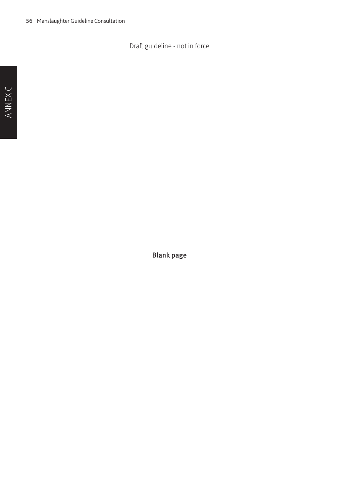Blank page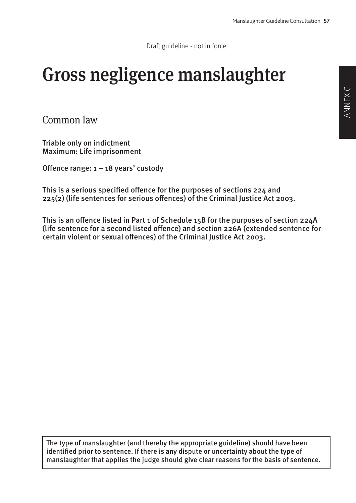# Gross negligence manslaughter

Common law

Triable only on indictment Maximum: Life imprisonment

Offence range: 1 – 18 years' custody

This is a serious specified offence for the purposes of sections 224 and 225(2) (life sentences for serious offences) of the Criminal Justice Act 2003.

This is an offence listed in Part 1 of Schedule 15B for the purposes of section 224A (life sentence for a second listed offence) and section 226A (extended sentence for certain violent or sexual offences) of the Criminal Justice Act 2003.

The type of manslaughter (and thereby the appropriate guideline) should have been identified prior to sentence. If there is any dispute or uncertainty about the type of manslaughter that applies the judge should give clear reasons for the basis of sentence.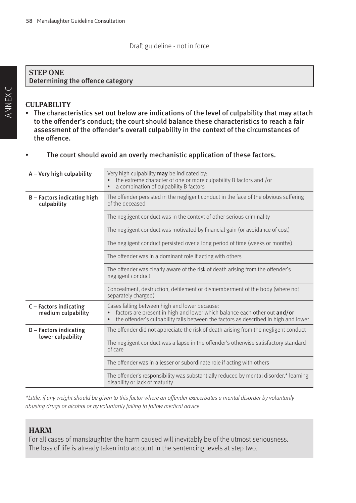## STEP ONE Determining the offence category

#### **CULPABILITY**

- The characteristics set out below are indications of the level of culpability that may attach to the offender's conduct; the court should balance these characteristics to reach a fair assessment of the offender's overall culpability in the context of the circumstances of the offence.
- The court should avoid an overly mechanistic application of these factors.

| A - Very high culpability                          | Very high culpability may be indicated by:<br>the extreme character of one or more culpability B factors and /or<br>a combination of culpability B factors<br>$\bullet$                                           |
|----------------------------------------------------|-------------------------------------------------------------------------------------------------------------------------------------------------------------------------------------------------------------------|
| B - Factors indicating high<br>culpability         | The offender persisted in the negligent conduct in the face of the obvious suffering<br>of the deceased                                                                                                           |
|                                                    | The negligent conduct was in the context of other serious criminality                                                                                                                                             |
|                                                    | The negligent conduct was motivated by financial gain (or avoidance of cost)                                                                                                                                      |
|                                                    | The negligent conduct persisted over a long period of time (weeks or months)                                                                                                                                      |
|                                                    | The offender was in a dominant role if acting with others                                                                                                                                                         |
|                                                    | The offender was clearly aware of the risk of death arising from the offender's<br>negligent conduct                                                                                                              |
|                                                    | Concealment, destruction, defilement or dismemberment of the body (where not<br>separately charged)                                                                                                               |
| C - Factors indicating<br>medium culpability       | Cases falling between high and lower because:<br>factors are present in high and lower which balance each other out and/or<br>the offender's culpability falls between the factors as described in high and lower |
| <b>D</b> - Factors indicating<br>lower culpability | The offender did not appreciate the risk of death arising from the negligent conduct                                                                                                                              |
|                                                    | The negligent conduct was a lapse in the offender's otherwise satisfactory standard<br>of care                                                                                                                    |
|                                                    | The offender was in a lesser or subordinate role if acting with others                                                                                                                                            |
|                                                    | The offender's responsibility was substantially reduced by mental disorder,* learning<br>disability or lack of maturity                                                                                           |

\*Little, if any weight should be given to this factor where an offender exacerbates a mental disorder by voluntarily abusing drugs or alcohol or by voluntarily failing to follow medical advice

## **HARM**

For all cases of manslaughter the harm caused will inevitably be of the utmost seriousness. The loss of life is already taken into account in the sentencing levels at step two.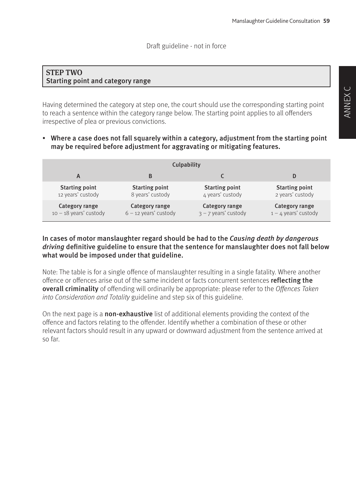## STEP TWO Starting point and category range

Having determined the category at step one, the court should use the corresponding starting point to reach a sentence within the category range below. The starting point applies to all offenders irrespective of plea or previous convictions.

## • Where a case does not fall squarely within a category, adjustment from the starting point may be required before adjustment for aggravating or mitigating features.

| Culpability              |                         |                        |                        |
|--------------------------|-------------------------|------------------------|------------------------|
| A                        | В                       |                        | D                      |
| <b>Starting point</b>    | <b>Starting point</b>   | <b>Starting point</b>  | <b>Starting point</b>  |
| 12 years' custody        | 8 years' custody        | 4 years' custody       | 2 years' custody       |
| Category range           | Category range          | <b>Category range</b>  | Category range         |
| $10 - 18$ years' custody | $6 - 12$ years' custody | $3 - 7$ years' custody | $1 - 4$ years' custody |

## In cases of motor manslaughter regard should be had to the Causing death by dangerous driving definitive guideline to ensure that the sentence for manslaughter does not fall below what would be imposed under that guideline.

Note: The table is for a single offence of manslaughter resulting in a single fatality. Where another offence or offences arise out of the same incident or facts concurrent sentences reflecting the overall criminality of offending will ordinarily be appropriate: please refer to the *Offences Taken* into Consideration and Totality guideline and step six of this guideline.

On the next page is a **non-exhaustive** list of additional elements providing the context of the offence and factors relating to the offender. Identify whether a combination of these or other relevant factors should result in any upward or downward adjustment from the sentence arrived at so far.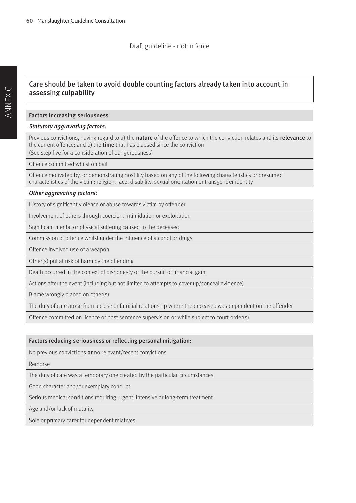## Care should be taken to avoid double counting factors already taken into account in assessing culpability

#### Factors increasing seriousness

#### Statutory aggravating factors:

Previous convictions, having regard to a) the nature of the offence to which the conviction relates and its relevance to the current offence; and b) the time that has elapsed since the conviction

(See step five for a consideration of dangerousness)

Offence committed whilst on bail

Offence motivated by, or demonstrating hostility based on any of the following characteristics or presumed characteristics of the victim: religion, race, disability, sexual orientation or transgender identity

#### Other aggravating factors:

History of significant violence or abuse towards victim by offender

Involvement of others through coercion, intimidation or exploitation

Significant mental or physical suffering caused to the deceased

Commission of offence whilst under the influence of alcohol or drugs

Offence involved use of a weapon

Other(s) put at risk of harm by the offending

Death occurred in the context of dishonesty or the pursuit of financial gain

Actions after the event (including but not limited to attempts to cover up/conceal evidence)

Blame wrongly placed on other(s)

The duty of care arose from a close or familial relationship where the deceased was dependent on the offender

Offence committed on licence or post sentence supervision or while subject to court order(s)

#### Factors reducing seriousness or reflecting personal mitigation:

No previous convictions or no relevant/recent convictions

Remorse

The duty of care was a temporary one created by the particular circumstances

Good character and/or exemplary conduct

Serious medical conditions requiring urgent, intensive or long-term treatment

Age and/or lack of maturity

Sole or primary carer for dependent relatives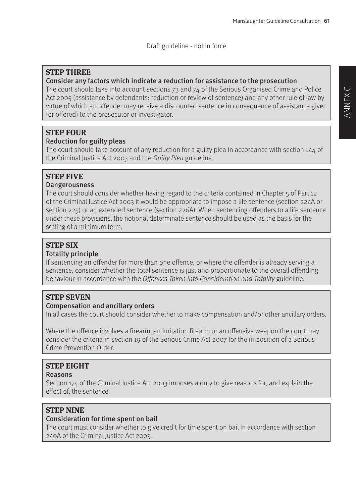# **STEP THREE**

## Consider any factors which indicate a reduction for assistance to the prosecution

The court should take into account sections 73 and 74 of the Serious Organised Crime and Police Act 2005 (assistance by defendants: reduction or review of sentence) and any other rule of law by virtue of which an offender may receive a discounted sentence in consequence of assistance given (or offered) to the prosecutor or investigator.

# **STEP FOUR**

## Reduction for guilty pleas

The court should take account of any reduction for a guilty plea in accordance with section 144 of the Criminal Justice Act 2003 and the Guilty Plea guideline.

#### **STEP FIVE Dangerousness**

The court should consider whether having regard to the criteria contained in Chapter 5 of Part 12 of the Criminal Justice Act 2003 it would be appropriate to impose a life sentence (section 224A or section 225) or an extended sentence (section 226A). When sentencing offenders to a life sentence under these provisions, the notional determinate sentence should be used as the basis for the setting of a minimum term.

# **STEP SIX**

## Totality principle

If sentencing an offender for more than one offence, or where the offender is already serving a sentence, consider whether the total sentence is just and proportionate to the overall offending behaviour in accordance with the Offences Taken into Consideration and Totality guideline.

# **STEP SEVEN**

## Compensation and ancillary orders

In all cases the court should consider whether to make compensation and/or other ancillary orders.

Where the offence involves a firearm, an imitation firearm or an offensive weapon the court may consider the criteria in section 19 of the Serious Crime Act 2007 for the imposition of a Serious Crime Prevention Order.

# **STEP EIGHT**

## Reasons

Section 174 of the Criminal Justice Act 2003 imposes a duty to give reasons for, and explain the effect of, the sentence.

# **STEP NINE**

## Consideration for time spent on bail

The court must consider whether to give credit for time spent on bail in accordance with section 240A of the Criminal Justice Act 2003.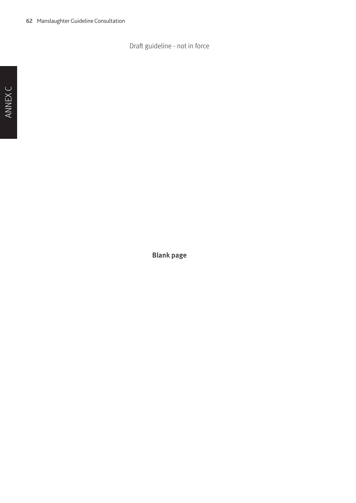Blank page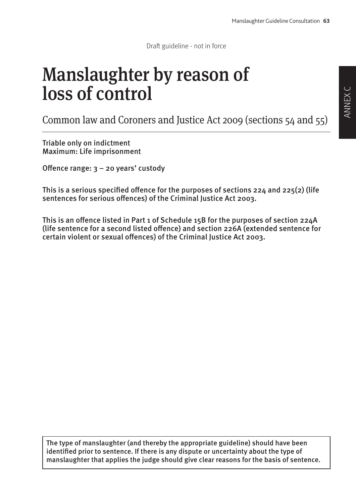# Manslaughter by reason of loss of control

Common law and Coroners and Justice Act 2009 (sections 54 and 55)

Triable only on indictment Maximum: Life imprisonment

Offence range: 3 – 20 years' custody

This is a serious specified offence for the purposes of sections 224 and 225(2) (life sentences for serious offences) of the Criminal Justice Act 2003.

This is an offence listed in Part 1 of Schedule 15B for the purposes of section 224A (life sentence for a second listed offence) and section 226A (extended sentence for certain violent or sexual offences) of the Criminal Justice Act 2003.

The type of manslaughter (and thereby the appropriate guideline) should have been identified prior to sentence. If there is any dispute or uncertainty about the type of manslaughter that applies the judge should give clear reasons for the basis of sentence.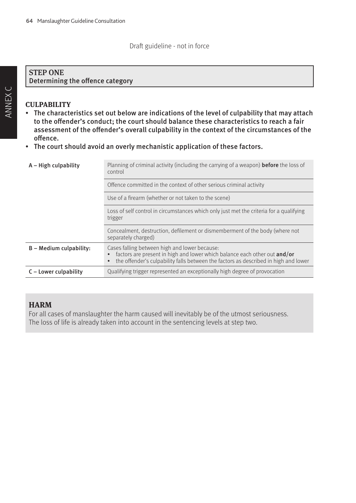## STEP ONE Determining the offence category

## **CULPABILITY**

- The characteristics set out below are indications of the level of culpability that may attach to the offender's conduct; the court should balance these characteristics to reach a fair assessment of the offender's overall culpability in the context of the circumstances of the offence.
- The court should avoid an overly mechanistic application of these factors.

| A - High culpability    | Planning of criminal activity (including the carrying of a weapon) <b>before</b> the loss of<br>control                                                                                                                                     |
|-------------------------|---------------------------------------------------------------------------------------------------------------------------------------------------------------------------------------------------------------------------------------------|
|                         | Offence committed in the context of other serious criminal activity                                                                                                                                                                         |
|                         | Use of a firearm (whether or not taken to the scene)                                                                                                                                                                                        |
|                         | Loss of self control in circumstances which only just met the criteria for a qualifying<br>trigger                                                                                                                                          |
|                         | Concealment, destruction, defilement or dismemberment of the body (where not<br>separately charged)                                                                                                                                         |
| B - Medium culpability: | Cases falling between high and lower because:<br>factors are present in high and lower which balance each other out and/or<br>$\bullet$<br>the offender's culpability falls between the factors as described in high and lower<br>$\bullet$ |
| C – Lower culpability   | Qualifying trigger represented an exceptionally high degree of provocation                                                                                                                                                                  |

## **HARM**

For all cases of manslaughter the harm caused will inevitably be of the utmost seriousness. The loss of life is already taken into account in the sentencing levels at step two.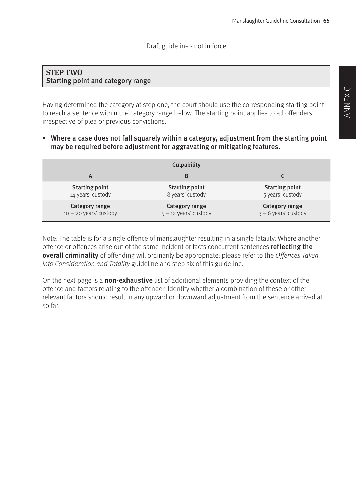## STEP TWO Starting point and category range

Having determined the category at step one, the court should use the corresponding starting point to reach a sentence within the category range below. The starting point applies to all offenders irrespective of plea or previous convictions.

• Where a case does not fall squarely within a category, adjustment from the starting point may be required before adjustment for aggravating or mitigating features.

|                          | Culpability             |                        |
|--------------------------|-------------------------|------------------------|
| A                        | B                       |                        |
| <b>Starting point</b>    | <b>Starting point</b>   | <b>Starting point</b>  |
| 14 years' custody        | 8 years' custody        | 5 years' custody       |
| Category range           | Category range          | Category range         |
| $10 - 20$ years' custody | $5 - 12$ years' custody | $3 - 6$ years' custody |

Note: The table is for a single offence of manslaughter resulting in a single fatality. Where another offence or offences arise out of the same incident or facts concurrent sentences reflecting the overall criminality of offending will ordinarily be appropriate: please refer to the *Offences Taken* into Consideration and Totality guideline and step six of this guideline.

On the next page is a **non-exhaustive** list of additional elements providing the context of the offence and factors relating to the offender. Identify whether a combination of these or other relevant factors should result in any upward or downward adjustment from the sentence arrived at so far.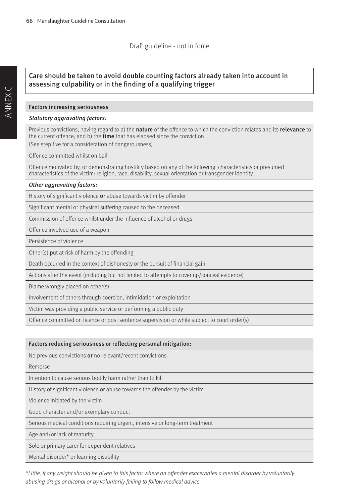#### Factors increasing seriousness

#### Statutory aggravating factors:

Previous convictions, having regard to a) the nature of the offence to which the conviction relates and its relevance to the current offence; and b) the time that has elapsed since the conviction (See step five for a consideration of dangerousness)

Offence committed whilst on bail

Offence motivated by, or demonstrating hostility based on any of the following characteristics or presumed characteristics of the victim: religion, race, disability, sexual orientation or transgender identity

#### Other aggravating factors:

History of significant violence or abuse towards victim by offender

Significant mental or physical suffering caused to the deceased

Commission of offence whilst under the influence of alcohol or drugs

Offence involved use of a weapon

Persistence of violence

Other(s) put at risk of harm by the offending

Death occurred in the context of dishonesty or the pursuit of financial gain

Actions after the event (including but not limited to attempts to cover up/conceal evidence)

Blame wrongly placed on other(s)

Involvement of others through coercion, intimidation or exploitation

Victim was providing a public service or performing a public duty

Offence committed on licence or post sentence supervision or while subject to court order(s)

#### Factors reducing seriousness or reflecting personal mitigation:

No previous convictions or no relevant/recent convictions

Remorse

Intention to cause serious bodily harm rather than to kill

History of significant violence or abuse towards the offender by the victim

Violence initiated by the victim

Good character and/or exemplary conduct

Serious medical conditions requiring urgent, intensive or long-term treatment

Age and/or lack of maturity

Sole or primary carer for dependent relatives

Mental disorder\* or learning disability

\*Little, if any weight should be given to this factor where an offender exacerbates a mental disorder by voluntarily abusing drugs or alcohol or by voluntarily failing to follow medical advice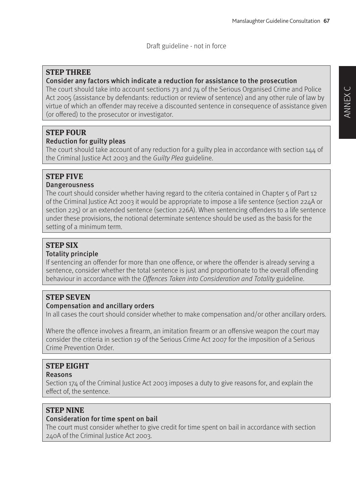# **STEP THREE**

## Consider any factors which indicate a reduction for assistance to the prosecution

The court should take into account sections 73 and 74 of the Serious Organised Crime and Police Act 2005 (assistance by defendants: reduction or review of sentence) and any other rule of law by virtue of which an offender may receive a discounted sentence in consequence of assistance given (or offered) to the prosecutor or investigator.

# **STEP FOUR**

## Reduction for guilty pleas

The court should take account of any reduction for a guilty plea in accordance with section 144 of the Criminal Justice Act 2003 and the Guilty Plea guideline.

#### **STEP FIVE Dangerousness**

The court should consider whether having regard to the criteria contained in Chapter 5 of Part 12 of the Criminal Justice Act 2003 it would be appropriate to impose a life sentence (section 224A or section 225) or an extended sentence (section 226A). When sentencing offenders to a life sentence under these provisions, the notional determinate sentence should be used as the basis for the setting of a minimum term.

# **STEP SIX**

## Totality principle

If sentencing an offender for more than one offence, or where the offender is already serving a sentence, consider whether the total sentence is just and proportionate to the overall offending behaviour in accordance with the Offences Taken into Consideration and Totality guideline.

# **STEP SEVEN**

## Compensation and ancillary orders

In all cases the court should consider whether to make compensation and/or other ancillary orders.

Where the offence involves a firearm, an imitation firearm or an offensive weapon the court may consider the criteria in section 19 of the Serious Crime Act 2007 for the imposition of a Serious Crime Prevention Order.

# **STEP EIGHT**

## Reasons

Section 174 of the Criminal Justice Act 2003 imposes a duty to give reasons for, and explain the effect of, the sentence.

# **STEP NINE**

## Consideration for time spent on bail

The court must consider whether to give credit for time spent on bail in accordance with section 240A of the Criminal Justice Act 2003.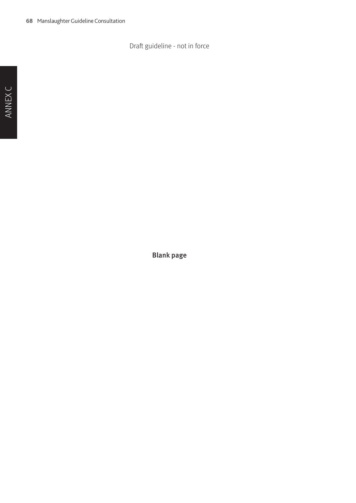Blank page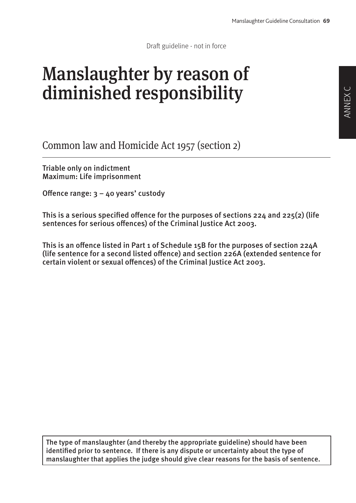# Manslaughter by reason of diminished responsibility

Common law and Homicide Act 1957 (section 2)

Triable only on indictment Maximum: Life imprisonment

Offence range: 3 – 40 years' custody

This is a serious specified offence for the purposes of sections 224 and 225(2) (life sentences for serious offences) of the Criminal Justice Act 2003.

This is an offence listed in Part 1 of Schedule 15B for the purposes of section 224A (life sentence for a second listed offence) and section 226A (extended sentence for certain violent or sexual offences) of the Criminal Justice Act 2003.

The type of manslaughter (and thereby the appropriate guideline) should have been identified prior to sentence. If there is any dispute or uncertainty about the type of manslaughter that applies the judge should give clear reasons for the basis of sentence.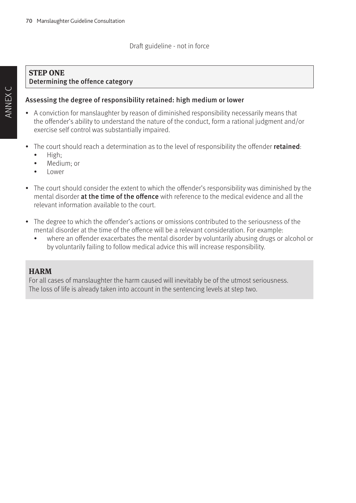## **STEP ONE** Determining the offence category

#### Assessing the degree of responsibility retained: high medium or lower

- A conviction for manslaughter by reason of diminished responsibility necessarily means that the offender's ability to understand the nature of the conduct, form a rational judgment and/or exercise self control was substantially impaired.
- The court should reach a determination as to the level of responsibility the offender retained:
	- High;
	- Medium; or
	- **Lower**
- The court should consider the extent to which the offender's responsibility was diminished by the mental disorder at the time of the offence with reference to the medical evidence and all the relevant information available to the court.
- The degree to which the offender's actions or omissions contributed to the seriousness of the mental disorder at the time of the offence will be a relevant consideration. For example:
	- where an offender exacerbates the mental disorder by voluntarily abusing drugs or alcohol or by voluntarily failing to follow medical advice this will increase responsibility.

## **HARM**

For all cases of manslaughter the harm caused will inevitably be of the utmost seriousness. The loss of life is already taken into account in the sentencing levels at step two.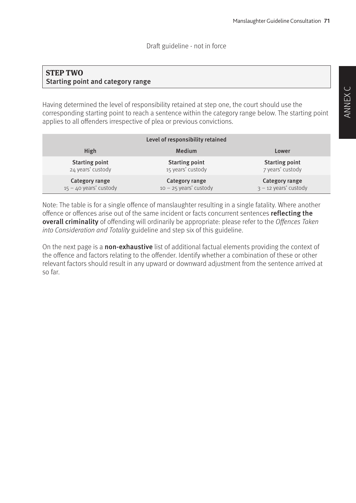# **STEP TWO** Starting point and category range

Having determined the level of responsibility retained at step one, the court should use the corresponding starting point to reach a sentence within the category range below. The starting point applies to all offenders irrespective of plea or previous convictions.

| Level of responsibility retained |                          |                         |  |
|----------------------------------|--------------------------|-------------------------|--|
| High                             | <b>Medium</b>            | Lower                   |  |
| <b>Starting point</b>            | <b>Starting point</b>    | <b>Starting point</b>   |  |
| 24 years' custody                | 15 years' custody        | 7 years' custody        |  |
| <b>Category range</b>            | Category range           | <b>Category range</b>   |  |
| $15 - 40$ years' custody         | $10 - 25$ years' custody | $3 - 12$ years' custody |  |

Note: The table is for a single offence of manslaughter resulting in a single fatality. Where another offence or offences arise out of the same incident or facts concurrent sentences reflecting the overall criminality of offending will ordinarily be appropriate: please refer to the Offences Taken into Consideration and Totality guideline and step six of this guideline.

On the next page is a **non-exhaustive** list of additional factual elements providing the context of the offence and factors relating to the offender. Identify whether a combination of these or other relevant factors should result in any upward or downward adjustment from the sentence arrived at so far.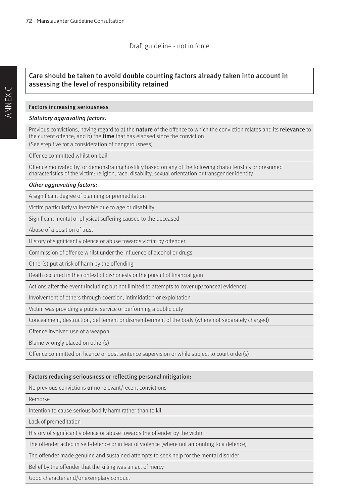## Care should be taken to avoid double counting factors already taken into account in assessing the level of responsibility retained

#### Factors increasing seriousness

#### Statutory aggravating factors:

Previous convictions, having regard to a) the nature of the offence to which the conviction relates and its relevance to the current offence; and b) the time that has elapsed since the conviction (See step five for a consideration of dangerousness)

Offence committed whilst on bail

Offence motivated by, or demonstrating hostility based on any of the following characteristics or presumed characteristics of the victim: religion, race, disability, sexual orientation or transgender identity

#### Other aggravating factors:

A significant degree of planning or premeditation

Victim particularly vulnerable due to age or disability

Significant mental or physical suffering caused to the deceased

Abuse of a position of trust

History of significant violence or abuse towards victim by offender

Commission of offence whilst under the influence of alcohol or drugs

Other(s) put at risk of harm by the offending

Death occurred in the context of dishonesty or the pursuit of financial gain

Actions after the event (including but not limited to attempts to cover up/conceal evidence)

Involvement of others through coercion, intimidation or exploitation

Victim was providing a public service or performing a public duty

Concealment, destruction, defilement or dismemberment of the body (where not separately charged)

Offence involved use of a weapon

Blame wrongly placed on other(s)

Offence committed on licence or post sentence supervision or while subject to court order(s)

#### Factors reducing seriousness or reflecting personal mitigation:

No previous convictions or no relevant/recent convictions

Remorse

Intention to cause serious bodily harm rather than to kill

Lack of premeditation

History of significant violence or abuse towards the offender by the victim

The offender acted in self-defence or in fear of violence (where not amounting to a defence)

The offender made genuine and sustained attempts to seek help for the mental disorder

Belief by the offender that the killing was an act of mercy

Good character and/or exemplary conduct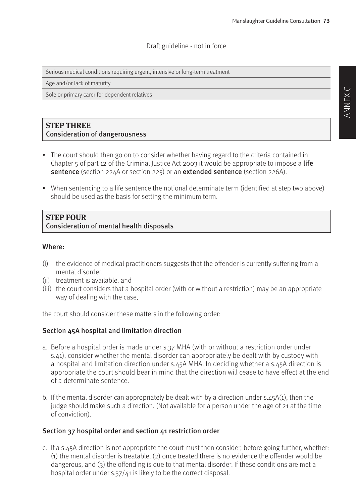Serious medical conditions requiring urgent, intensive or long-term treatment

Age and/or lack of maturity

Sole or primary carer for dependent relatives

## **STEP THREE** Consideration of dangerousness

- The court should then go on to consider whether having regard to the criteria contained in Chapter 5 of part 12 of the Criminal Justice Act 2003 it would be appropriate to impose a **life** sentence (section 224A or section 225) or an extended sentence (section 226A).
- When sentencing to a life sentence the notional determinate term (identified at step two above) should be used as the basis for setting the minimum term.

## **STEP FOUR** Consideration of mental health disposals

#### Where:

- (i) the evidence of medical practitioners suggests that the offender is currently suffering from a mental disorder,
- (ii) treatment is available, and
- (iii) the court considers that a hospital order (with or without a restriction) may be an appropriate way of dealing with the case,

the court should consider these matters in the following order:

### Section 45A hospital and limitation direction

- a. Before a hospital order is made under s.37 MHA (with or without a restriction order under s.41), consider whether the mental disorder can appropriately be dealt with by custody with a hospital and limitation direction under s.45A MHA. In deciding whether a s.45A direction is appropriate the court should bear in mind that the direction will cease to have effect at the end of a determinate sentence.
- b. If the mental disorder can appropriately be dealt with by a direction under  $s.45A(1)$ , then the judge should make such a direction. (Not available for a person under the age of 21 at the time of conviction).

### Section 37 hospital order and section 41 restriction order

c. If a s.45A direction is not appropriate the court must then consider, before going further, whether: (1) the mental disorder is treatable, (2) once treated there is no evidence the offender would be dangerous, and (3) the offending is due to that mental disorder. If these conditions are met a hospital order under s.37/41 is likely to be the correct disposal.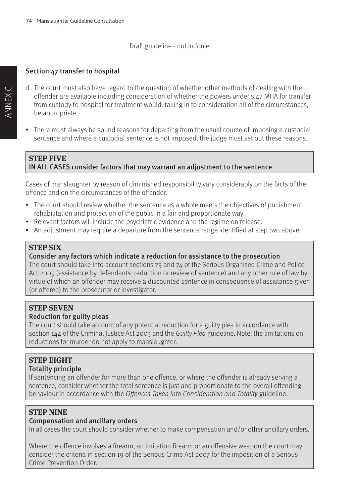## Section 47 transfer to hospital

- d. The court must also have regard to the question of whether other methods of dealing with the offender are available including consideration of whether the powers under s.47 MHA for transfer from custody to hospital for treatment would, taking in to consideration all of the circumstances, be appropriate.
- There must always be sound reasons for departing from the usual course of imposing a custodial sentence and where a custodial sentence is not imposed, the judge must set out these reasons.

## **STEP FIVE** IN ALL CASES consider factors that may warrant an adjustment to the sentence

Cases of manslaughter by reason of diminished responsibility vary considerably on the facts of the offence and on the circumstances of the offender.

- The court should review whether the sentence as a whole meets the objectives of punishment, rehabilitation and protection of the public in a fair and proportionate way.
- Relevant factors will include the psychiatric evidence and the regime on release.
- An adjustment may require a departure from the sentence range identified at step two above.

## **STEP SIX**

### Consider any factors which indicate a reduction for assistance to the prosecution

The court should take into account sections 73 and 74 of the Serious Organised Crime and Police Act 2005 (assistance by defendants: reduction or review of sentence) and any other rule of law by virtue of which an offender may receive a discounted sentence in consequence of assistance given (or offered) to the prosecutor or investigator.

## **STEP SEVEN**

### Reduction for guilty pleas

The court should take account of any potential reduction for a guilty plea in accordance with section 144 of the Criminal Justice Act 2003 and the Guilty Plea guideline. Note: the limitations on reductions for murder do not apply to manslaughter.

# **STEP EIGHT**

## Totality principle

If sentencing an offender for more than one offence, or where the offender is already serving a sentence, consider whether the total sentence is just and proportionate to the overall offending behaviour in accordance with the Offences Taken into Consideration and Totality guideline.

### **STEP NINE**

### Compensation and ancillary orders

In all cases the court should consider whether to make compensation and/or other ancillary orders.

Where the offence involves a firearm, an imitation firearm or an offensive weapon the court may consider the criteria in section 19 of the Serious Crime Act 2007 for the imposition of a Serious Crime Prevention Order.